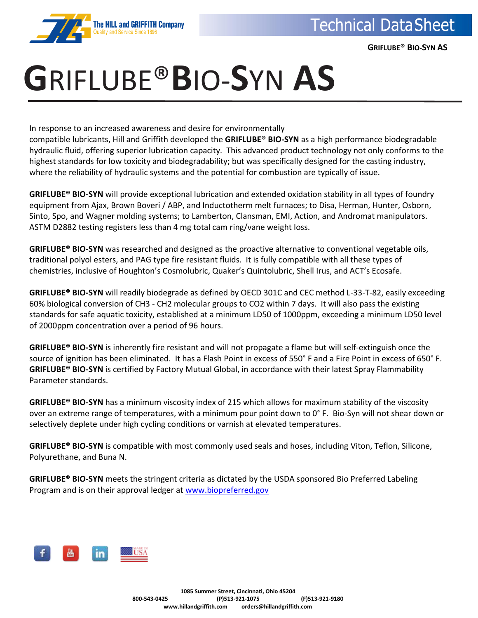

 **GRIFLUBE® BIO-SYN AS**

## **G**RIFLUBE®**B**IO-**S**YN **AS**

In response to an increased awareness and desire for environmentally

compatible lubricants, Hill and Griffith developed the **GRIFLUBE® BIO-SYN** as a high performance biodegradable hydraulic fluid, offering superior lubrication capacity. This advanced product technology not only conforms to the highest standards for low toxicity and biodegradability; but was specifically designed for the casting industry, where the reliability of hydraulic systems and the potential for combustion are typically of issue.

**GRIFLUBE® BIO-SYN** will provide exceptional lubrication and extended oxidation stability in all types of foundry equipment from Ajax, Brown Boveri / ABP, and Inductotherm melt furnaces; to Disa, Herman, Hunter, Osborn, Sinto, Spo, and Wagner molding systems; to Lamberton, Clansman, EMI, Action, and Andromat manipulators. ASTM D2882 testing registers less than 4 mg total cam ring/vane weight loss.

**GRIFLUBE® BIO-SYN** was researched and designed as the proactive alternative to conventional vegetable oils, traditional polyol esters, and PAG type fire resistant fluids. It is fully compatible with all these types of chemistries, inclusive of Houghton's Cosmolubric, Quaker's Quintolubric, Shell Irus, and ACT's Ecosafe.

**GRIFLUBE® BIO-SYN** will readily biodegrade as defined by OECD 301C and CEC method L-33-T-82, easily exceeding 60% biological conversion of CH3 - CH2 molecular groups to CO2 within 7 days. It will also pass the existing standards for safe aquatic toxicity, established at a minimum LD50 of 1000ppm, exceeding a minimum LD50 level of 2000ppm concentration over a period of 96 hours.

**GRIFLUBE® BIO-SYN** is inherently fire resistant and will not propagate a flame but will self-extinguish once the source of ignition has been eliminated. It has a Flash Point in excess of 550° F and a Fire Point in excess of 650° F. **GRIFLUBE® BIO-SYN** is certified by Factory Mutual Global, in accordance with their latest Spray Flammability Parameter standards.

**GRIFLUBE® BIO-SYN** has a minimum viscosity index of 215 which allows for maximum stability of the viscosity over an extreme range of temperatures, with a minimum pour point down to 0° F. Bio-Syn will not shear down or selectively deplete under high cycling conditions or varnish at elevated temperatures.

**GRIFLUBE® BIO-SYN** is compatible with most commonly used seals and hoses, including Viton, Teflon, Silicone, Polyurethane, and Buna N.

**GRIFLUBE® BIO-SYN** meets the stringent criteria as dictated by the USDA sponsored Bio Preferred Labeling Program and is on their approval ledger at [www.biopreferred.gov](http://www.biopreferred.gov/)